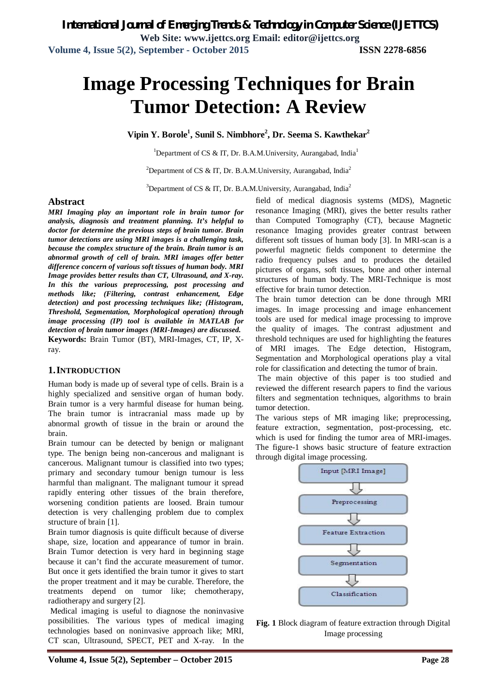# **Image Processing Techniques for Brain Tumor Detection: A Review**

**Vipin Y. Borole<sup>1</sup> , Sunil S. Nimbhore<sup>2</sup> , Dr. Seema S. Kawthekar<sup>2</sup>**

<sup>1</sup>Department of CS & IT, Dr. B.A.M.University, Aurangabad, India<sup>1</sup>

<sup>2</sup>Department of CS & IT, Dr. B.A.M.University, Aurangabad, India<sup>2</sup>

<sup>3</sup>Department of CS & IT, Dr. B.A.M.University, Aurangabad, India<sup>2</sup>

#### **Abstract**

*MRI Imaging play an important role in brain tumor for analysis, diagnosis and treatment planning. It's helpful to doctor for determine the previous steps of brain tumor. Brain tumor detections are using MRI images is a challenging task, because the complex structure of the brain. Brain tumor is an abnormal growth of cell of brain. MRI images offer better difference concern of various soft tissues of human body. MRI Image provides better results than CT, Ultrasound, and X-ray. In this the various preprocessing, post processing and methods like; (Filtering, contrast enhancement, Edge detection) and post processing techniques like; (Histogram, Threshold, Segmentation, Morphological operation) through image processing (IP) tool is available in MATLAB for detection of brain tumor images (MRI-Images) are discussed.* **Keywords:** Brain Tumor (BT), MRI-Images, CT, IP, Xray.

#### **1.INTRODUCTION**

Human body is made up of several type of cells. Brain is a highly specialized and sensitive organ of human body. Brain tumor is a very harmful disease for human being. The brain tumor is intracranial mass made up by abnormal growth of tissue in the brain or around the brain.

Brain tumour can be detected by benign or malignant type. The benign being non-cancerous and malignant is cancerous. Malignant tumour is classified into two types; primary and secondary tumour benign tumour is less harmful than malignant. The malignant tumour it spread rapidly entering other tissues of the brain therefore, worsening condition patients are loosed. Brain tumour detection is very challenging problem due to complex structure of brain [1].

Brain tumor diagnosis is quite difficult because of diverse shape, size, location and appearance of tumor in brain. Brain Tumor detection is very hard in beginning stage because it can't find the accurate measurement of tumor. But once it gets identified the brain tumor it gives to start the proper treatment and it may be curable. Therefore, the treatments depend on tumor like; chemotherapy, radiotherapy and surgery [2].

Medical imaging is useful to diagnose the noninvasive possibilities. The various types of medical imaging technologies based on noninvasive approach like; MRI, CT scan, Ultrasound, SPECT, PET and X-ray. In the

field of medical diagnosis systems (MDS), Magnetic resonance Imaging (MRI), gives the better results rather than Computed Tomography (CT), because Magnetic resonance Imaging provides greater contrast between different soft tissues of human body [3]. In MRI-scan is a powerful magnetic fields component to determine the radio frequency pulses and to produces the detailed pictures of organs, soft tissues, bone and other internal structures of human body. The MRI-Technique is most effective for brain tumor detection.

The brain tumor detection can be done through MRI images. In image processing and image enhancement tools are used for medical image processing to improve the quality of images. The contrast adjustment and threshold techniques are used for highlighting the features of MRI images. The Edge detection, Histogram, Segmentation and Morphological operations play a vital role for classification and detecting the tumor of brain.

The main objective of this paper is too studied and reviewed the different research papers to find the various filters and segmentation techniques, algorithms to brain tumor detection.

The various steps of MR imaging like; preprocessing, feature extraction, segmentation, post-processing, etc. which is used for finding the tumor area of MRI-images. The figure-1 shows basic structure of feature extraction through digital image processing.



**Fig. 1** Block diagram of feature extraction through Digital Image processing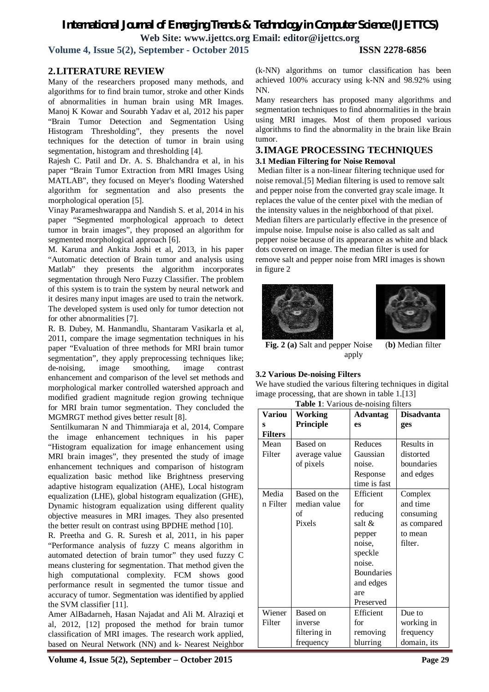# *International Journal of Emerging Trends & Technology in Computer Science (IJETTCS)* **Web Site: www.ijettcs.org Email: editor@ijettcs.org**

**Volume 4, Issue 5(2), September - October 2015 ISSN 2278-6856**

#### **2.LITERATURE REVIEW**

Many of the researchers proposed many methods, and algorithms for to find brain tumor, stroke and other Kinds of abnormalities in human brain using MR Images. Manoj K Kowar and Sourabh Yadav et al, 2012 his paper "Brain Tumor Detection and Segmentation Using Histogram Thresholding", they presents the novel techniques for the detection of tumor in brain using segmentation, histogram and thresholding [4].

Rajesh C. Patil and Dr. A. S. Bhalchandra et al, in his paper "Brain Tumor Extraction from MRI Images Using MATLAB", they focused on Meyer's flooding Watershed algorithm for segmentation and also presents the morphological operation [5].

Vinay Parameshwarappa and Nandish S. et al, 2014 in his paper "Segmented morphological approach to detect tumor in brain images", they proposed an algorithm for segmented morphological approach [6].

M. Karuna and Ankita Joshi et al, 2013, in his paper "Automatic detection of Brain tumor and analysis using Matlab" they presents the algorithm incorporates segmentation through Nero Fuzzy Classifier. The problem of this system is to train the system by neural network and it desires many input images are used to train the network. The developed system is used only for tumor detection not for other abnormalities [7].

R. B. Dubey, M. Hanmandlu, Shantaram Vasikarla et al, 2011, compare the image segmentation techniques in his paper "Evaluation of three methods for MRI brain tumor segmentation", they apply preprocessing techniques like; de-noising, image smoothing, image contrast enhancement and comparison of the level set methods and morphological marker controlled watershed approach and modified gradient magnitude region growing technique for MRI brain tumor segmentation. They concluded the MGMRGT method gives better result [8].

Sentilkumaran N and Thimmiaraja et al, 2014, Compare the image enhancement techniques in his paper "Histogram equalization for image enhancement using MRI brain images", they presented the study of image enhancement techniques and comparison of histogram equalization basic method like Brightness preserving adaptive histogram equalization (AHE), Local histogram equalization (LHE), global histogram equalization (GHE), Dynamic histogram equalization using different quality objective measures in MRI images. They also presented the better result on contrast using BPDHE method [10].

R. Preetha and G. R. Suresh et al, 2011, in his paper "Performance analysis of fuzzy C means algorithm in automated detection of brain tumor" they used fuzzy C means clustering for segmentation. That method given the high computational complexity. FCM shows good performance result in segmented the tumor tissue and accuracy of tumor. Segmentation was identified by applied the SVM classifier [11].

Amer AlBadarneh, Hasan Najadat and Ali M. Alraziqi et al, 2012, [12] proposed the method for brain tumor classification of MRI images. The research work applied, based on Neural Network (NN) and k- Nearest Neighbor

(k-NN) algorithms on tumor classification has been achieved 100% accuracy using k-NN and 98.92% using NN.

Many researchers has proposed many algorithms and segmentation techniques to find abnormalities in the brain using MRI images. Most of them proposed various algorithms to find the abnormality in the brain like Brain tumor.

#### **3.IMAGE PROCESSING TECHNIQUES 3.1 Median Filtering for Noise Removal**

Median filter is a non-linear filtering technique used for noise removal.[5] Median filtering is used to remove salt and pepper noise from the converted gray scale image. It replaces the value of the center pixel with the median of the intensity values in the neighborhood of that pixel. Median filters are particularly effective in the presence of impulse noise. Impulse noise is also called as salt and pepper noise because of its appearance as white and black dots covered on image. The median filter is used for remove salt and pepper noise from MRI images is shown in figure 2





**Fig. 2 (a)** Salt and pepper Noise (**b)** Median filter apply

#### **3.2 Various De-noising Filters**

We have studied the various filtering techniques in digital image processing, that are shown in table 1.[13] **Table 1**: Various de-noising filters

| <b>Variou</b>  | <b>rabit 1.</b> various uchoising micro<br>Working | <b>Advantag</b>   | <b>Disadvanta</b> |
|----------------|----------------------------------------------------|-------------------|-------------------|
| s              | Principle                                          | es                | ges               |
| <b>Filters</b> |                                                    |                   |                   |
| Mean           | Based on                                           | Reduces           | Results in        |
| Filter         | average value                                      | Gaussian          | distorted         |
|                | of pixels                                          | noise.            | boundaries        |
|                |                                                    | Response          | and edges         |
|                |                                                    | time is fast      |                   |
| Media          | Based on the                                       | Efficient         | Complex           |
| n Filter       | median value                                       | for               | and time          |
|                | of                                                 | reducing          | consuming         |
|                | Pixels                                             | salt &            | as compared       |
|                |                                                    | pepper            | to mean           |
|                |                                                    | noise,            | filter.           |
|                |                                                    | speckle           |                   |
|                |                                                    | noise.            |                   |
|                |                                                    | <b>Boundaries</b> |                   |
|                |                                                    | and edges         |                   |
|                |                                                    | are               |                   |
|                |                                                    | Preserved         |                   |
| Wiener         | Based on                                           | Efficient         | Due to            |
| Filter         | inverse                                            | for               | working in        |
|                | filtering in                                       | removing          | frequency         |
|                | frequency                                          | blurring          | domain, its       |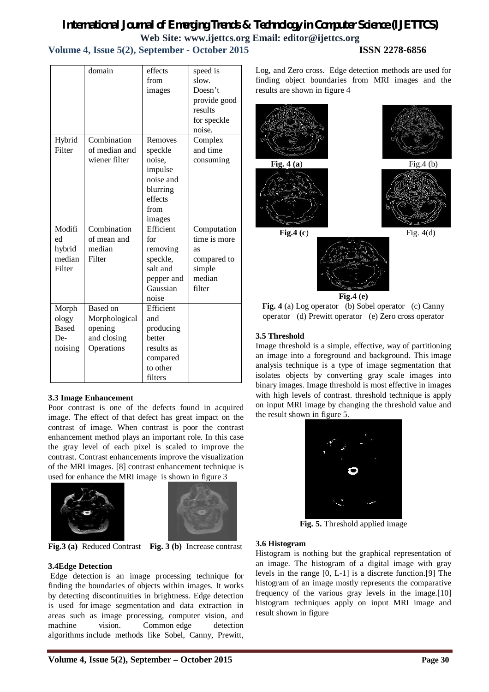# *International Journal of Emerging Trends & Technology in Computer Science (IJETTCS)* **Web Site: www.ijettcs.org Email: editor@ijettcs.org Volume 4, Issue 5(2), September - October 2015 ISSN 2278-6856**

|                                                  | domain                                                            | effects<br>from<br>images                                                                     | speed is<br>slow.<br>Doesn't<br>provide good<br>results<br>for speckle<br>noise. |
|--------------------------------------------------|-------------------------------------------------------------------|-----------------------------------------------------------------------------------------------|----------------------------------------------------------------------------------|
| Hybrid<br>Filter                                 | Combination<br>of median and<br>wiener filter                     | Removes<br>speckle<br>noise,<br>impulse<br>noise and<br>blurring<br>effects<br>from<br>images | Complex<br>and time<br>consuming                                                 |
| Modifi<br>ed<br>hybrid<br>median<br>Filter       | Combination<br>of mean and<br>median<br>Filter                    | Efficient<br>for<br>removing<br>speckle,<br>salt and<br>pepper and<br>Gaussian<br>noise       | Computation<br>time is more<br>as<br>compared to<br>simple<br>median<br>filter   |
| Morph<br>ology<br><b>Based</b><br>De-<br>noising | Based on<br>Morphological<br>opening<br>and closing<br>Operations | Efficient<br>and<br>producing<br>better<br>results as<br>compared<br>to other<br>filters      |                                                                                  |

#### **3.3 Image Enhancement**

Poor contrast is one of the defects found in acquired image. The effect of that defect has great impact on the contrast of image. When contrast is poor the contrast enhancement method plays an important role. In this case the gray level of each pixel is scaled to improve the contrast. Contrast enhancements improve the visualization of the MRI images. [8] contrast enhancement technique is used for enhance the MRI image is shown in figure 3





 **Fig.3 (a)** Reduced Contrast **Fig. 3 (b)** Increase contrast

#### **3.4Edge Detection**

Edge detection is an image processing technique for finding the boundaries of objects within images. It works by detecting discontinuities in brightness. Edge detection is used for image segmentation and data extraction in areas such as image processing, computer vision, and machine vision. Common edge detection algorithms include methods like Sobel, Canny, Prewitt, Log, and Zero cross. Edge detection methods are used for finding object boundaries from MRI images and the results are shown in figure 4



**Fig. 4** (a) Log operator (b) Sobel operator (c) Canny operator (d) Prewitt operator (e) Zero cross operator

#### **3.5 Threshold**

Image threshold is a simple, effective, way of partitioning an image into a foreground and background. This image analysis technique is a type of image segmentation that isolates objects by converting gray scale images into binary images. Image threshold is most effective in images with high levels of contrast, threshold technique is apply on input MRI image by changing the threshold value and the result shown in figure 5.



**Fig. 5.** Threshold applied image

#### **3.6 Histogram**

Histogram is nothing but the graphical representation of an image. The histogram of a digital image with gray levels in the range [0, L-1] is a discrete function.[9] The histogram of an image mostly represents the comparative frequency of the various gray levels in the image.[10] histogram techniques apply on input MRI image and result shown in figure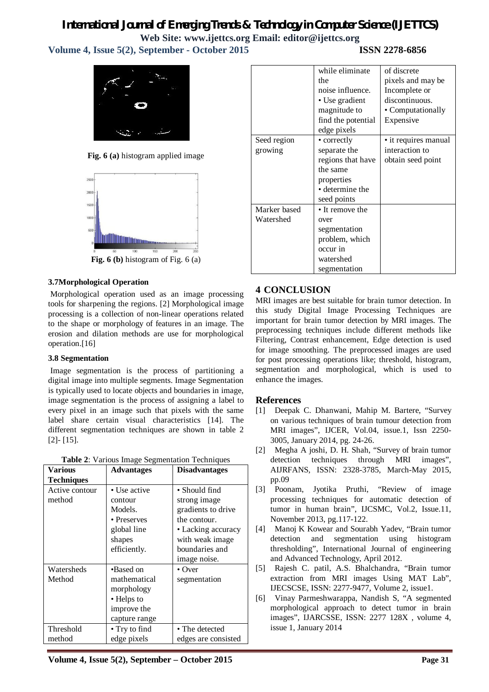# *International Journal of Emerging Trends & Technology in Computer Science (IJETTCS)* **Web Site: www.ijettcs.org Email: editor@ijettcs.org**

**Volume 4, Issue 5(2), September - October 2015 ISSN 2278-6856**



**Fig. 6 (a)** histogram applied image



**Fig. 6 (b)** histogram of Fig. 6 (a)

### **3.7Morphological Operation**

Morphological operation used as an image processing tools for sharpening the regions. [2] Morphological image processing is a collection of non-linear operations related to the shape or morphology of features in an image. The erosion and dilation methods are use for morphological operation.[16]

#### **3.8 Segmentation**

Image segmentation is the process of partitioning a digital image into multiple segments. Image Segmentation is typically used to locate objects and boundaries in image, image segmentation is the process of assigning a label to every pixel in an image such that pixels with the same label share certain visual characteristics [14]. The different segmentation techniques are shown in table 2 [2]- [15].

| Various           | <b>Advantages</b>     | <b>Disadvantages</b>  |  |
|-------------------|-----------------------|-----------------------|--|
| <b>Techniques</b> |                       |                       |  |
| Active contour    | • Use active          | $\bullet$ Should find |  |
| method            | contour               | strong image          |  |
|                   | Models.               | gradients to drive    |  |
|                   | • Preserves           | the contour.          |  |
|                   | global line           | • Lacking accuracy    |  |
|                   | shapes                | with weak image       |  |
|                   | efficiently.          | boundaries and        |  |
|                   |                       | image noise.          |  |
| Watersheds        | •Based on             | $\bullet$ Over        |  |
| Method            | mathematical          | segmentation          |  |
|                   | morphology            |                       |  |
|                   | • Helps to            |                       |  |
|                   | improve the           |                       |  |
|                   | capture range         |                       |  |
| Threshold         | $\bullet$ Try to find | • The detected        |  |
| method            | edge pixels           | edges are consisted   |  |

|              | while eliminate    | of discrete          |
|--------------|--------------------|----------------------|
|              | the                | pixels and may be    |
|              | noise influence.   | Incomplete or        |
|              | • Use gradient     | discontinuous.       |
|              | magnitude to       | • Computationally    |
|              | find the potential | Expensive            |
|              | edge pixels        |                      |
| Seed region  | • correctly        | • it requires manual |
| growing      | separate the       | interaction to       |
|              | regions that have  | obtain seed point    |
|              | the same           |                      |
|              | properties         |                      |
|              | • determine the    |                      |
|              | seed points        |                      |
| Marker based | • It remove the    |                      |
| Watershed    | over               |                      |
|              | segmentation       |                      |
|              | problem, which     |                      |
|              | occur in           |                      |
|              | watershed          |                      |
|              | segmentation       |                      |

# **4 CONCLUSION**

MRI images are best suitable for brain tumor detection. In this study Digital Image Processing Techniques are important for brain tumor detection by MRI images. The preprocessing techniques include different methods like Filtering, Contrast enhancement, Edge detection is used for image smoothing. The preprocessed images are used for post processing operations like; threshold, histogram, segmentation and morphological, which is used to enhance the images.

### **References**

- [1] Deepak C. Dhanwani, Mahip M. Bartere, "Survey on various techniques of brain tumour detection from MRI images", IJCER, Vol.04, issue.1, Issn 2250- 3005, January 2014, pg. 24-26.
- [2] Megha A joshi, D. H. Shah, "Survey of brain tumor detection techniques through MRI images", AIJRFANS, ISSN: 2328-3785, March-May 2015, pp.09
- [3] Poonam, Jyotika Pruthi, "Review of image processing techniques for automatic detection of tumor in human brain", IJCSMC, Vol.2, Issue.11, November 2013, pg.117-122.
- [4] Manoj K Kowear and Sourabh Yadev, "Brain tumor detection and segmentation using histogram thresholding", International Journal of engineering and Advanced Technology, April 2012.
- [5] Rajesh C. patil, A.S. Bhalchandra, "Brain tumor extraction from MRI images Using MAT Lab", IJECSCSE, ISSN: 2277-9477, Volume 2, issue1.
- [6] Vinay Parmeshwarappa, Nandish S, "A segmented morphological approach to detect tumor in brain images", IJARCSSE, ISSN: 2277 128X , volume 4, issue 1, January 2014